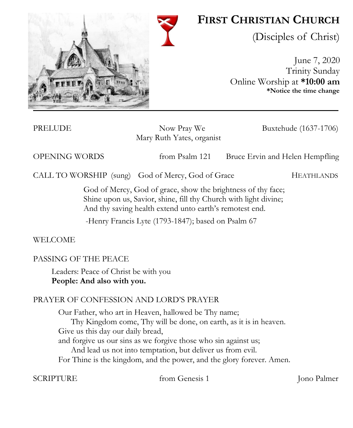

# **FIRST CHRISTIAN CHURCH**

(Disciples of Christ)

June 7, 2020 Trinity Sunday Online Worship at **\*10:00 am \*Notice the time change**

PRELUDE Now Pray We Buxtehude (1637-1706) Mary Ruth Yates, organist

OPENING WORDS from Psalm 121 Bruce Ervin and Helen Hempfling

CALL TO WORSHIP (sung) God of Mercy, God of Grace HEATHLANDS

God of Mercy, God of grace, show the brightness of thy face; Shine upon us, Savior, shine, fill thy Church with light divine; And thy saving health extend unto earth's remotest end.

-Henry Francis Lyte (1793-1847); based on Psalm 67

WELCOME

# PASSING OF THE PEACE

Leaders: Peace of Christ be with you **People: And also with you.** 

# PRAYER OF CONFESSION AND LORD'S PRAYER

Our Father, who art in Heaven, hallowed be Thy name; Thy Kingdom come, Thy will be done, on earth, as it is in heaven. Give us this day our daily bread, and forgive us our sins as we forgive those who sin against us; And lead us not into temptation, but deliver us from evil. For Thine is the kingdom, and the power, and the glory forever. Amen.

SCRIPTURE from Genesis 1 Jone Palmer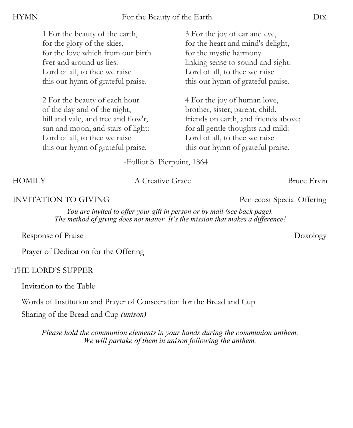| 1 For the beauty of the earth,      | 3 For the joy of ear and eye,        |
|-------------------------------------|--------------------------------------|
| for the glory of the skies,         | for the heart and mind's delight,    |
| for the love which from our birth   | for the mystic harmony               |
| fver and around us lies:            | linking sense to sound and sight:    |
| Lord of all, to thee we raise       | Lord of all, to thee we raise        |
| this our hymn of grateful praise.   | this our hymn of grateful praise.    |
| 2 For the beauty of each hour       | 4 For the joy of human love,         |
| of the day and of the night,        | brother, sister, parent, child,      |
| hill and vale, and tree and flow'r, | friends on earth, and friends above; |
| sun and moon, and stars of light:   | for all gentle thoughts and mild:    |
| Lord of all, to thee we raise       | Lord of all, to thee we raise        |

-Folliot S. Pierpoint, 1864

#### HOMILY A Creative Grace Bruce Ervin

#### INVITATION TO GIVING **Pentecost** Special Offering

*You are invited to offer your gift in person or by mail (see back page). The method of giving does not matter. It's the mission that makes a difference!*

Response of Praise Doxology

Prayer of Dedication for the Offering

this our hymn of grateful praise.

# THE LORD'S SUPPER

Invitation to the Table

Words of Institution and Prayer of Consecration for the Bread and Cup

Sharing of the Bread and Cup *(unison)* 

*Please hold the communion elements in your hands during the communion anthem. We will partake of them in unison following the anthem.*

this our hymn of grateful praise.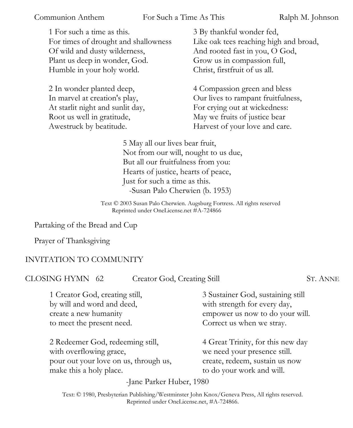Communion Anthem For Such a Time As This Ralph M. Johnson

1 For such a time as this. For times of drought and shallowness Of wild and dusty wilderness, Plant us deep in wonder, God. Humble in your holy world.

2 In wonder planted deep, In marvel at creation's play, At starlit night and sunlit day, Root us well in gratitude, Awestruck by beatitude.

3 By thankful wonder fed, Like oak tees reaching high and broad, And rooted fast in you, O God, Grow us in compassion full, Christ, firstfruit of us all.

4 Compassion green and bless Our lives to rampant fruitfulness, For crying out at wickedness: May we fruits of justice bear Harvest of your love and care.

5 May all our lives bear fruit, Not from our will, nought to us due, But all our fruitfulness from you: Hearts of justice, hearts of peace, Just for such a time as this. -Susan Palo Cherwien (b. 1953)

Text © 2003 Susan Palo Cherwien. Augsburg Fortress. All rights reserved Reprinted under OneLicense.net #A-724866

Partaking of the Bread and Cup

Prayer of Thanksgiving

#### INVITATION TO COMMUNITY

CLOSING HYMN 62 Creator God, Creating Still ST. ANNE

1 Creator God, creating still, by will and word and deed, create a new humanity to meet the present need.

2 Redeemer God, redeeming still, with overflowing grace, pour out your love on us, through us, make this a holy place.

3 Sustainer God, sustaining still with strength for every day, empower us now to do your will. Correct us when we stray.

4 Great Trinity, for this new day we need your presence still. create, redeem, sustain us now to do your work and will.

-Jane Parker Huber, 1980

Text: © 1980, Presbyterian Publishing/Westminster John Knox/Geneva Press, All rights reserved. Reprinted under OneLicense.net, #A-724866.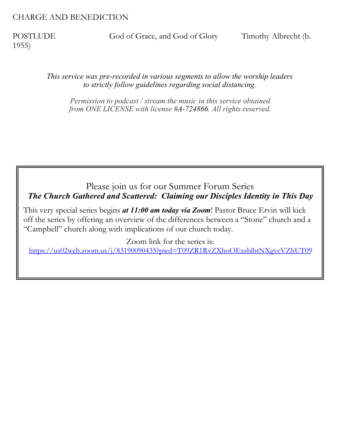#### CHARGE AND BENEDICTION

1955)

POSTLUDE God of Grace, and God of Glory Timothy Albrecht (b.

*This service was pre-recorded in various segments to allow the worship leaders to strictly follow guidelines regarding social distancing.* 

*Permission to podcast / stream the music in this service obtained from ONE LICENSE with license #A-724866. All rights reserved.*

### Please join us for our Summer Forum Series *The Church Gathered and Scattered: Claiming our Disciples Identity in This Day*

This very special series begins *at 11:00 am today via Zoom*! Pastor Bruce Ervin will kick off the series by offering an overview of the differences between a "Stone" church and a "Campbell" church along with implications of our church today.

Zoom link for the series is:

<https://us02web.zoom.us/j/83190090435?pwd=T09ZR1RvZXhoOExsblhtNXgvcVZhUT09>